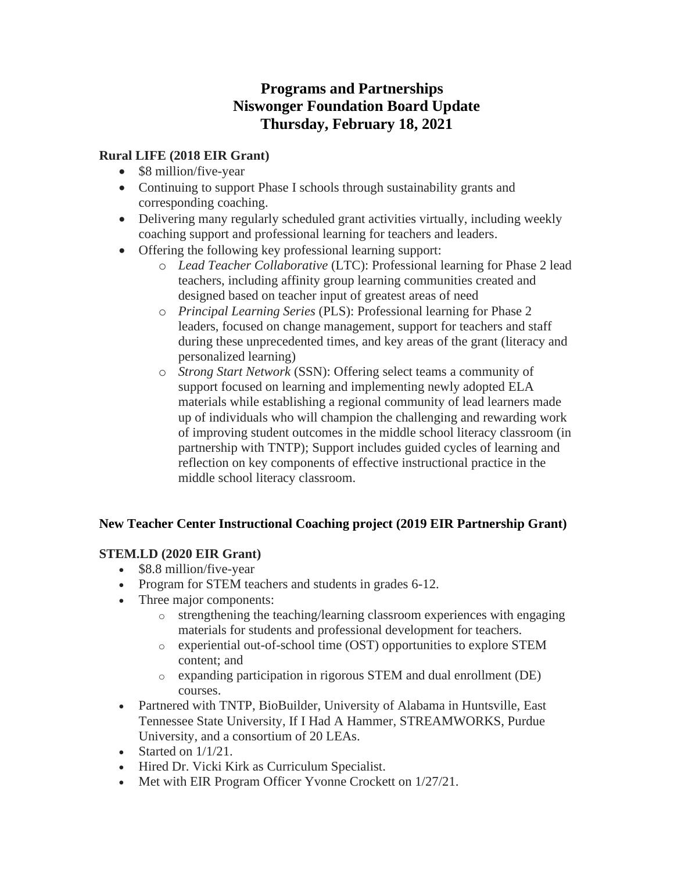# **Programs and Partnerships Niswonger Foundation Board Update Thursday, February 18, 2021**

#### **Rural LIFE (2018 EIR Grant)**

- \$8 million/five-year
- Continuing to support Phase I schools through sustainability grants and corresponding coaching.
- Delivering many regularly scheduled grant activities virtually, including weekly coaching support and professional learning for teachers and leaders.
- Offering the following key professional learning support:
	- o *Lead Teacher Collaborative* (LTC): Professional learning for Phase 2 lead teachers, including affinity group learning communities created and designed based on teacher input of greatest areas of need
	- o *Principal Learning Series* (PLS): Professional learning for Phase 2 leaders, focused on change management, support for teachers and staff during these unprecedented times, and key areas of the grant (literacy and personalized learning)
	- o *Strong Start Network* (SSN): Offering select teams a community of support focused on learning and implementing newly adopted ELA materials while establishing a regional community of lead learners made up of individuals who will champion the challenging and rewarding work of improving student outcomes in the middle school literacy classroom (in partnership with TNTP); Support includes guided cycles of learning and reflection on key components of effective instructional practice in the middle school literacy classroom.

# **New Teacher Center Instructional Coaching project (2019 EIR Partnership Grant)**

# **STEM.LD (2020 EIR Grant)**

- \$8.8 million/five-year
- Program for STEM teachers and students in grades 6-12.
- Three major components:
	- o strengthening the teaching/learning classroom experiences with engaging materials for students and professional development for teachers.
	- o experiential out-of-school time (OST) opportunities to explore STEM content; and
	- o expanding participation in rigorous STEM and dual enrollment (DE) courses.
- Partnered with TNTP, BioBuilder, University of Alabama in Huntsville, East Tennessee State University, If I Had A Hammer, STREAMWORKS, Purdue University, and a consortium of 20 LEAs.
- Started on  $1/1/21$ .
- Hired Dr. Vicki Kirk as Curriculum Specialist.
- Met with EIR Program Officer Yvonne Crockett on  $1/27/21$ .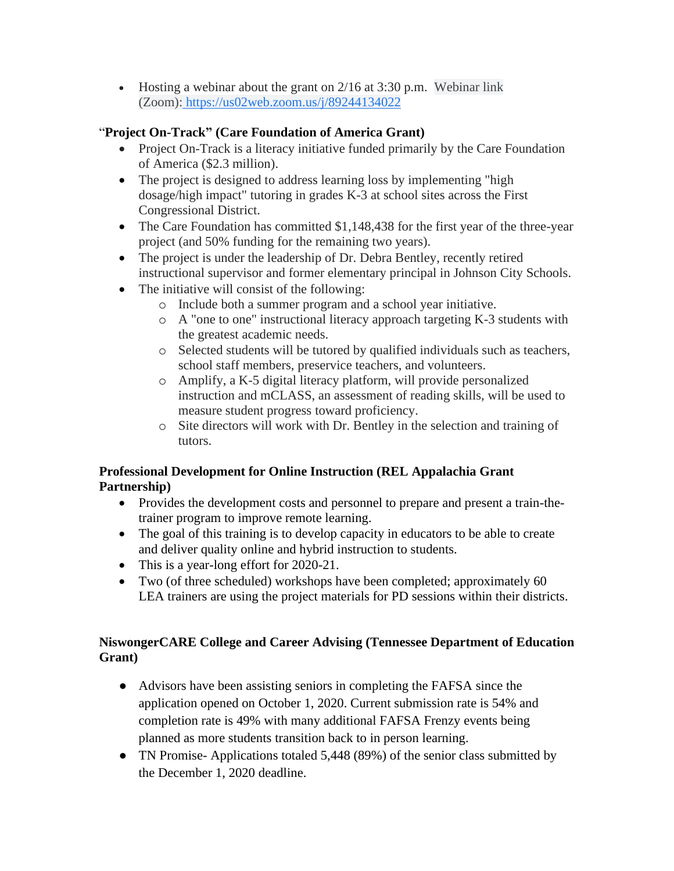• Hosting a webinar about the grant on  $2/16$  at  $3:30$  p.m. Webinar link (Zoom): [https://us02web.zoom.us/j/89244134022](https://www.google.com/url?q=https://us02web.zoom.us/j/89244134022&sa=D&source=calendar&ust=1613498185938000&usg=AOvVaw3PXdKUsie0fcKolWVM1nsc)

#### "**Project On-Track" (Care Foundation of America Grant)**

- Project On-Track is a literacy initiative funded primarily by the Care Foundation of America (\$2.3 million).
- The project is designed to address learning loss by implementing "high dosage/high impact" tutoring in grades K-3 at school sites across the First Congressional District.
- The Care Foundation has committed \$1,148,438 for the first year of the three-year project (and 50% funding for the remaining two years).
- The project is under the leadership of Dr. Debra Bentley, recently retired instructional supervisor and former elementary principal in Johnson City Schools.
- The initiative will consist of the following:
	- o Include both a summer program and a school year initiative.
	- o A "one to one" instructional literacy approach targeting K-3 students with the greatest academic needs.
	- o Selected students will be tutored by qualified individuals such as teachers, school staff members, preservice teachers, and volunteers.
	- o Amplify, a K-5 digital literacy platform, will provide personalized instruction and mCLASS, an assessment of reading skills, will be used to measure student progress toward proficiency.
	- o Site directors will work with Dr. Bentley in the selection and training of tutors.

### **Professional Development for Online Instruction (REL Appalachia Grant Partnership)**

- Provides the development costs and personnel to prepare and present a train-thetrainer program to improve remote learning.
- The goal of this training is to develop capacity in educators to be able to create and deliver quality online and hybrid instruction to students.
- This is a year-long effort for 2020-21.
- Two (of three scheduled) workshops have been completed; approximately 60 LEA trainers are using the project materials for PD sessions within their districts.

### **NiswongerCARE College and Career Advising (Tennessee Department of Education Grant)**

- Advisors have been assisting seniors in completing the FAFSA since the application opened on October 1, 2020. Current submission rate is 54% and completion rate is 49% with many additional FAFSA Frenzy events being planned as more students transition back to in person learning.
- TN Promise-Applications totaled 5,448 (89%) of the senior class submitted by the December 1, 2020 deadline.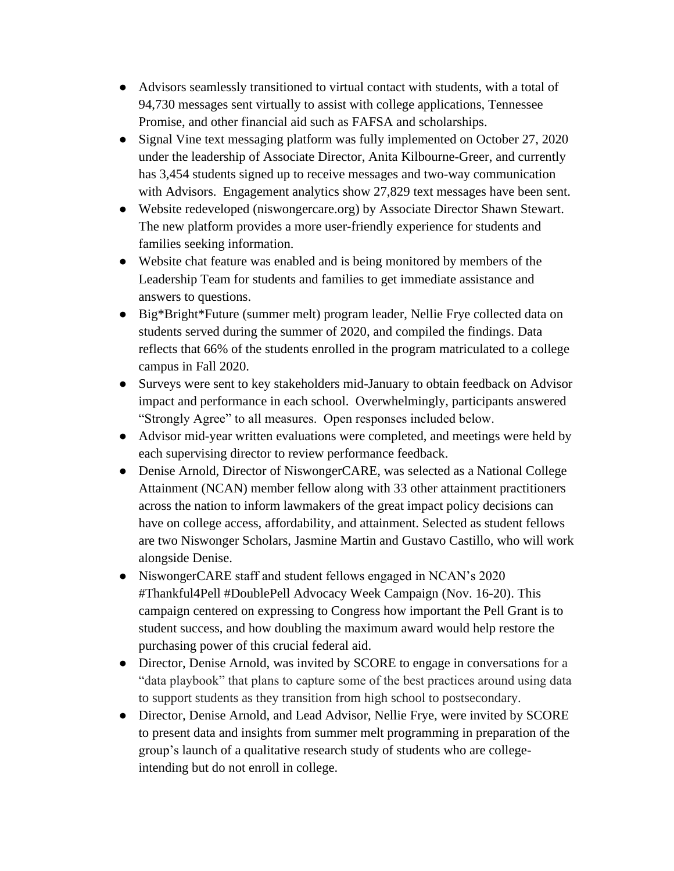- Advisors seamlessly transitioned to virtual contact with students, with a total of 94,730 messages sent virtually to assist with college applications, Tennessee Promise, and other financial aid such as FAFSA and scholarships.
- Signal Vine text messaging platform was fully implemented on October 27, 2020 under the leadership of Associate Director, Anita Kilbourne-Greer, and currently has 3,454 students signed up to receive messages and two-way communication with Advisors. Engagement analytics show 27,829 text messages have been sent.
- Website redeveloped (niswongercare.org) by Associate Director Shawn Stewart. The new platform provides a more user-friendly experience for students and families seeking information.
- Website chat feature was enabled and is being monitored by members of the Leadership Team for students and families to get immediate assistance and answers to questions.
- Big\*Bright\*Future (summer melt) program leader, Nellie Frye collected data on students served during the summer of 2020, and compiled the findings. Data reflects that 66% of the students enrolled in the program matriculated to a college campus in Fall 2020.
- Surveys were sent to key stakeholders mid-January to obtain feedback on Advisor impact and performance in each school. Overwhelmingly, participants answered "Strongly Agree" to all measures. Open responses included below.
- Advisor mid-year written evaluations were completed, and meetings were held by each supervising director to review performance feedback.
- Denise Arnold, Director of NiswongerCARE, was selected as a National College Attainment (NCAN) member fellow along with 33 other attainment practitioners across the nation to inform lawmakers of the great impact policy decisions can have on college access, affordability, and attainment. Selected as student fellows are two Niswonger Scholars, Jasmine Martin and Gustavo Castillo, who will work alongside Denise.
- NiswongerCARE staff and student fellows engaged in NCAN's 2020 #Thankful4Pell #DoublePell Advocacy Week Campaign (Nov. 16-20). This campaign centered on expressing to Congress how important the Pell Grant is to student success, and how doubling the maximum award would help restore the purchasing power of this crucial federal aid.
- Director, Denise Arnold, was invited by SCORE to engage in conversations for a "data playbook" that plans to capture some of the best practices around using data to support students as they transition from high school to postsecondary.
- Director, Denise Arnold, and Lead Advisor, Nellie Frye, were invited by SCORE to present data and insights from summer melt programming in preparation of the group's launch of a qualitative research study of students who are collegeintending but do not enroll in college.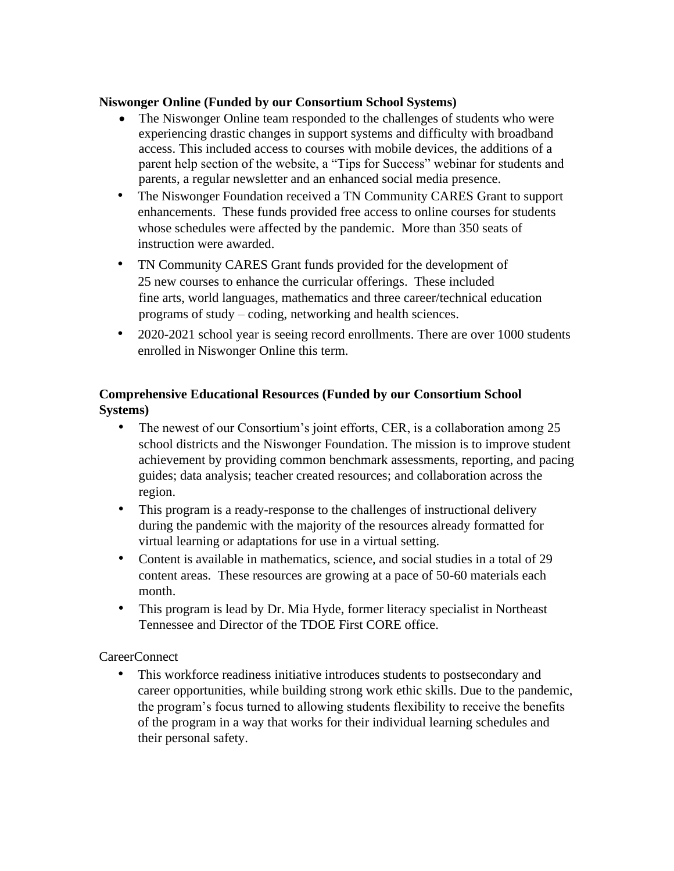#### **Niswonger Online (Funded by our Consortium School Systems)**

- The Niswonger Online team responded to the challenges of students who were experiencing drastic changes in support systems and difficulty with broadband access. This included access to courses with mobile devices, the additions of a parent help section of the website, a "Tips for Success" webinar for students and parents, a regular newsletter and an enhanced social media presence.
- The Niswonger Foundation received a TN Community CARES Grant to support enhancements. These funds provided free access to online courses for students whose schedules were affected by the pandemic. More than 350 seats of instruction were awarded.
- TN Community CARES Grant funds provided for the development of 25 new courses to enhance the curricular offerings. These included fine arts, world languages, mathematics and three career/technical education programs of study – coding, networking and health sciences.
- 2020-2021 school year is seeing record enrollments. There are over 1000 students enrolled in Niswonger Online this term.

### **Comprehensive Educational Resources (Funded by our Consortium School Systems)**

- The newest of our Consortium's joint efforts, CER, is a collaboration among 25 school districts and the Niswonger Foundation. The mission is to improve student achievement by providing common benchmark assessments, reporting, and pacing guides; data analysis; teacher created resources; and collaboration across the region.
- This program is a ready-response to the challenges of instructional delivery during the pandemic with the majority of the resources already formatted for virtual learning or adaptations for use in a virtual setting.
- Content is available in mathematics, science, and social studies in a total of 29 content areas. These resources are growing at a pace of 50-60 materials each month.
- This program is lead by Dr. Mia Hyde, former literacy specialist in Northeast Tennessee and Director of the TDOE First CORE office.

CareerConnect

• This workforce readiness initiative introduces students to postsecondary and career opportunities, while building strong work ethic skills. Due to the pandemic, the program's focus turned to allowing students flexibility to receive the benefits of the program in a way that works for their individual learning schedules and their personal safety.